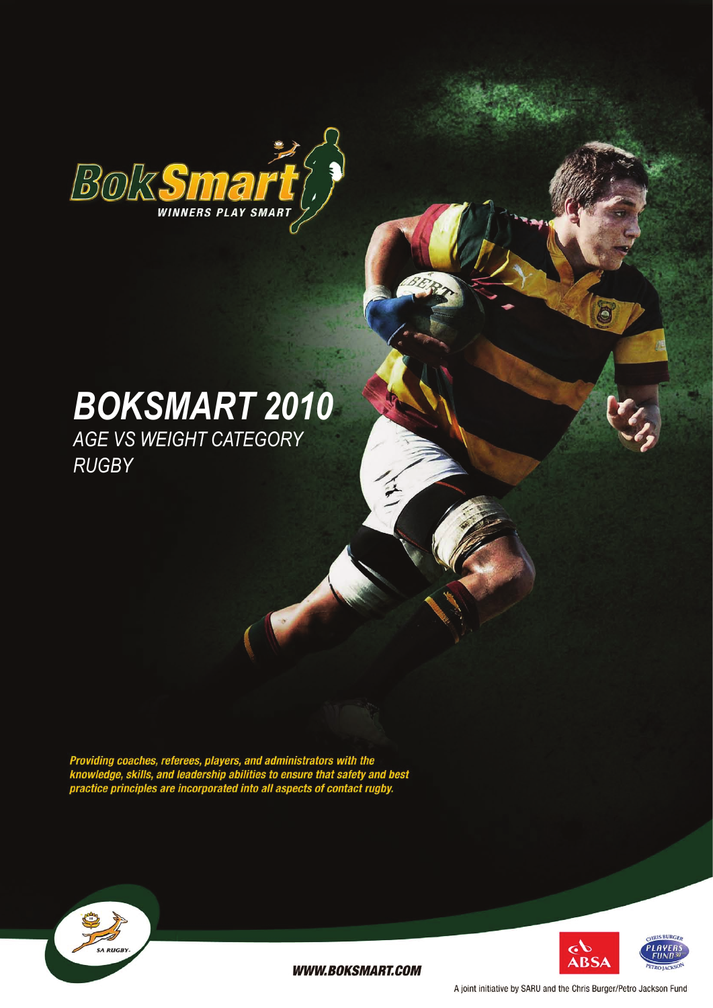

# *BokSmart 2010 Age vs Weight Category*

*Rugby*

Providing coaches, referees, players, and administrators with the<br>knowledge, skills, and leadership abilities to ensure that safety and best<br>practice principles are incorporated into all aspects of contact rugby.





**WWW.BOKSMART.COM** 

A joint initiative by SARU and the Chris Burger/Petro Jackson Fund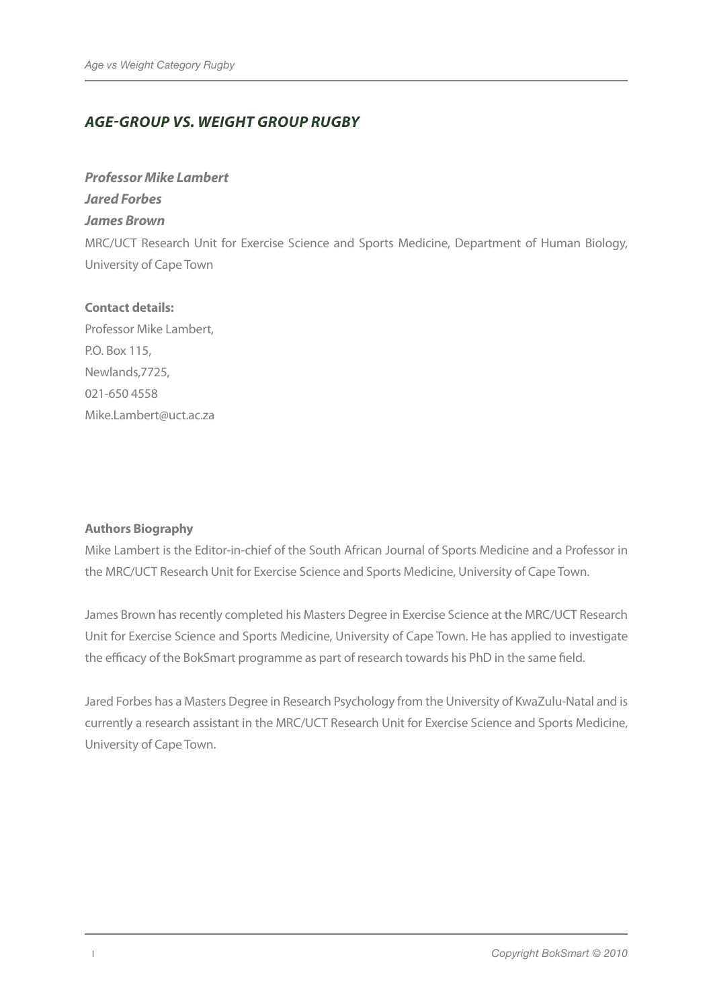# *AGE-GROUP VS. WEIGHT GROUP RUGBY*

#### *Professor Mike Lambert*

*Jared Forbes* 

## *James Brown*

MRC/UCT Research Unit for Exercise Science and Sports Medicine, Department of Human Biology, University of Cape Town

## **Contact details:**

Professor Mike Lambert, P.O. Box 115, Newlands,7725, 021-650 4558 Mike.Lambert@uct.ac.za

### **Authors Biography**

Mike Lambert is the Editor-in-chief of the South African Journal of Sports Medicine and a Professor in the MRC/UCT Research Unit for Exercise Science and Sports Medicine, University of Cape Town.

James Brown has recently completed his Masters Degree in Exercise Science at the MRC/UCT Research Unit for Exercise Science and Sports Medicine, University of Cape Town. He has applied to investigate the efficacy of the BokSmart programme as part of research towards his PhD in the same field.

Jared Forbes has a Masters Degree in Research Psychology from the University of KwaZulu-Natal and is currently a research assistant in the MRC/UCT Research Unit for Exercise Science and Sports Medicine, University of Cape Town.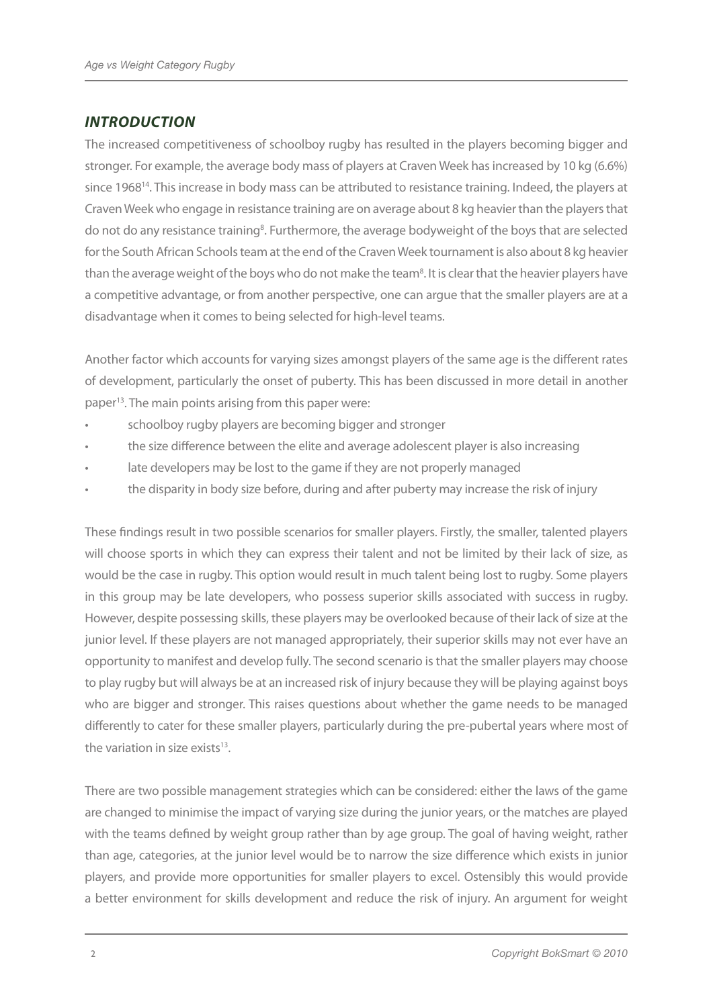# *INTRODUCTION*

The increased competitiveness of schoolboy rugby has resulted in the players becoming bigger and stronger. For example, the average body mass of players at Craven Week has increased by 10 kg (6.6%) since 1968<sup>14</sup>. This increase in body mass can be attributed to resistance training. Indeed, the players at Craven Week who engage in resistance training are on average about 8 kg heavier than the players that do not do any resistance training<sup>8</sup>. Furthermore, the average bodyweight of the boys that are selected for the South African Schools team at the end of the Craven Week tournament is also about 8 kg heavier than the average weight of the boys who do not make the team<sup>8</sup>. It is clear that the heavier players have a competitive advantage, or from another perspective, one can argue that the smaller players are at a disadvantage when it comes to being selected for high-level teams.

Another factor which accounts for varying sizes amongst players of the same age is the different rates of development, particularly the onset of puberty. This has been discussed in more detail in another paper13. The main points arising from this paper were:

- schoolboy rugby players are becoming bigger and stronger
- the size difference between the elite and average adolescent player is also increasing
- late developers may be lost to the game if they are not properly managed
- the disparity in body size before, during and after puberty may increase the risk of injury

These findings result in two possible scenarios for smaller players. Firstly, the smaller, talented players will choose sports in which they can express their talent and not be limited by their lack of size, as would be the case in rugby. This option would result in much talent being lost to rugby. Some players in this group may be late developers, who possess superior skills associated with success in rugby. However, despite possessing skills, these players may be overlooked because of their lack of size at the junior level. If these players are not managed appropriately, their superior skills may not ever have an opportunity to manifest and develop fully. The second scenario is that the smaller players may choose to play rugby but will always be at an increased risk of injury because they will be playing against boys who are bigger and stronger. This raises questions about whether the game needs to be managed differently to cater for these smaller players, particularly during the pre-pubertal years where most of the variation in size exists $13$ .

There are two possible management strategies which can be considered: either the laws of the game are changed to minimise the impact of varying size during the junior years, or the matches are played with the teams defined by weight group rather than by age group. The goal of having weight, rather than age, categories, at the junior level would be to narrow the size difference which exists in junior players, and provide more opportunities for smaller players to excel. Ostensibly this would provide a better environment for skills development and reduce the risk of injury. An argument for weight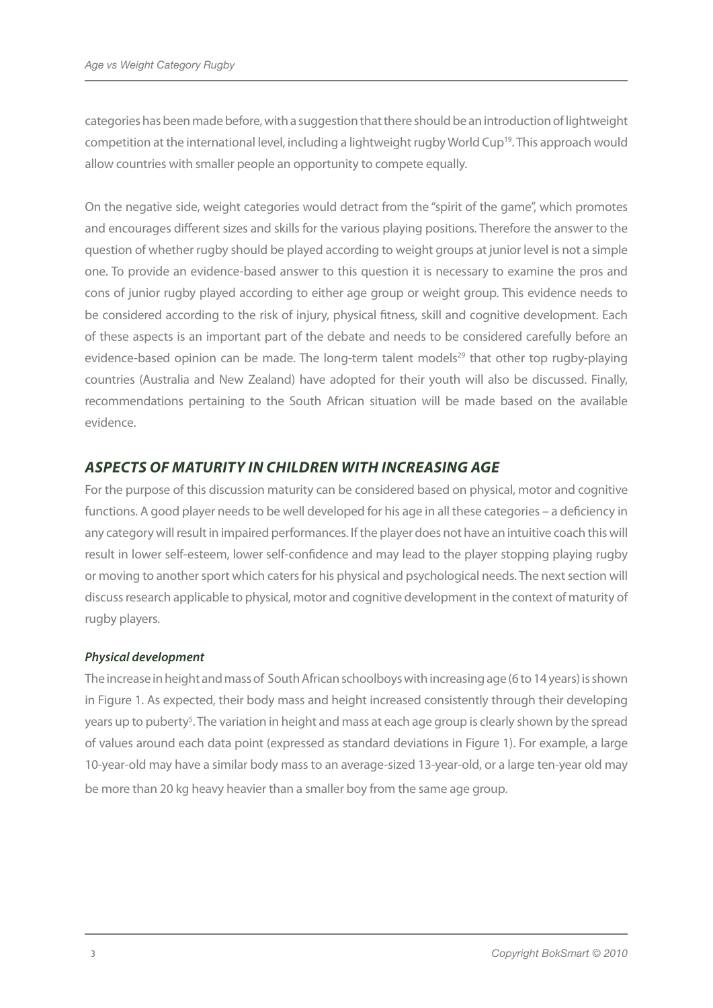categories has been made before, with a suggestion that there should be an introduction of lightweight competition at the international level, including a lightweight rugby World Cup19. This approach would allow countries with smaller people an opportunity to compete equally.

On the negative side, weight categories would detract from the "spirit of the game", which promotes and encourages different sizes and skills for the various playing positions. Therefore the answer to the question of whether rugby should be played according to weight groups at junior level is not a simple one. To provide an evidence-based answer to this question it is necessary to examine the pros and cons of junior rugby played according to either age group or weight group. This evidence needs to be considered according to the risk of injury, physical fitness, skill and cognitive development. Each of these aspects is an important part of the debate and needs to be considered carefully before an evidence-based opinion can be made. The long-term talent models<sup>29</sup> that other top rugby-playing countries (Australia and New Zealand) have adopted for their youth will also be discussed. Finally, recommendations pertaining to the South African situation will be made based on the available evidence.

# *ASPECTS OF MATURITY IN CHILDREN WITH INCREASING AGE*

For the purpose of this discussion maturity can be considered based on physical, motor and cognitive functions. A good player needs to be well developed for his age in all these categories – a deficiency in any category will result in impaired performances. If the player does not have an intuitive coach this will result in lower self-esteem, lower self-confidence and may lead to the player stopping playing rugby or moving to another sport which caters for his physical and psychological needs. The next section will discuss research applicable to physical, motor and cognitive development in the context of maturity of rugby players.

### *Physical development*

The increase in height and mass of South African schoolboys with increasing age (6 to 14 years) is shown in Figure 1. As expected, their body mass and height increased consistently through their developing years up to puberty<sup>5</sup>. The variation in height and mass at each age group is clearly shown by the spread of values around each data point (expressed as standard deviations in Figure 1). For example, a large 10-year-old may have a similar body mass to an average-sized 13-year-old, or a large ten-year old may be more than 20 kg heavy heavier than a smaller boy from the same age group.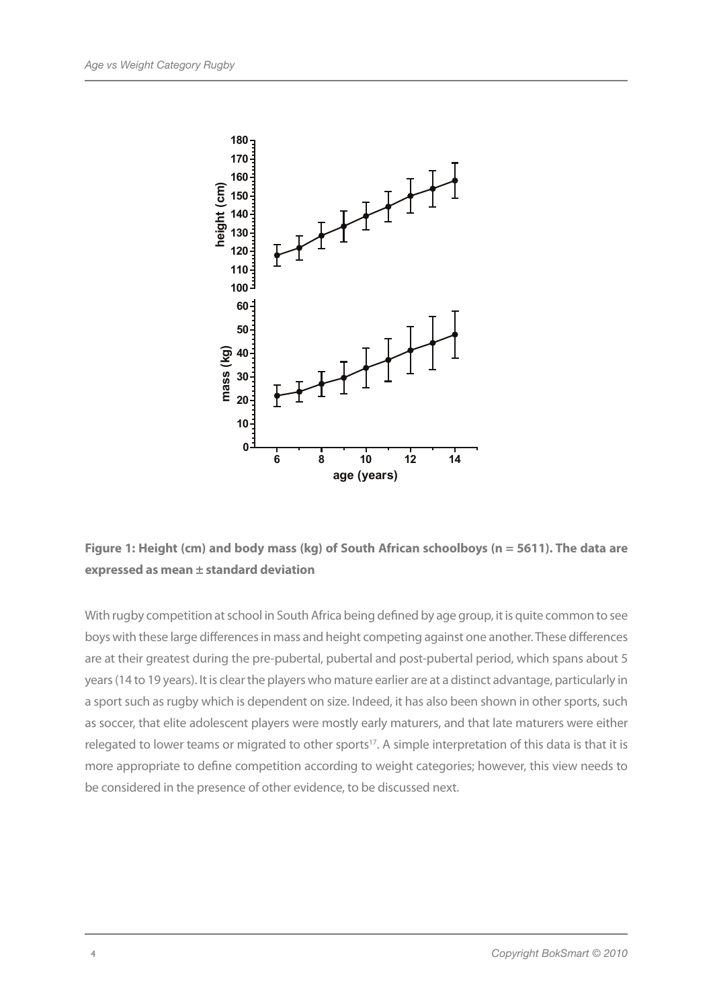

# **Figure 1: Height (cm) and body mass (kg) of South African schoolboys (n = 5611). The data are expressed as mean ± standard deviation**

With rugby competition at school in South Africa being defined by age group, it is quite common to see boys with these large differences in mass and height competing against one another. These differences are at their greatest during the pre-pubertal, pubertal and post-pubertal period, which spans about 5 years (14 to 19 years). It is clear the players who mature earlier are at a distinct advantage, particularly in a sport such as rugby which is dependent on size. Indeed, it has also been shown in other sports, such as soccer, that elite adolescent players were mostly early maturers, and that late maturers were either relegated to lower teams or migrated to other sports<sup>17</sup>. A simple interpretation of this data is that it is more appropriate to define competition according to weight categories; however, this view needs to be considered in the presence of other evidence, to be discussed next.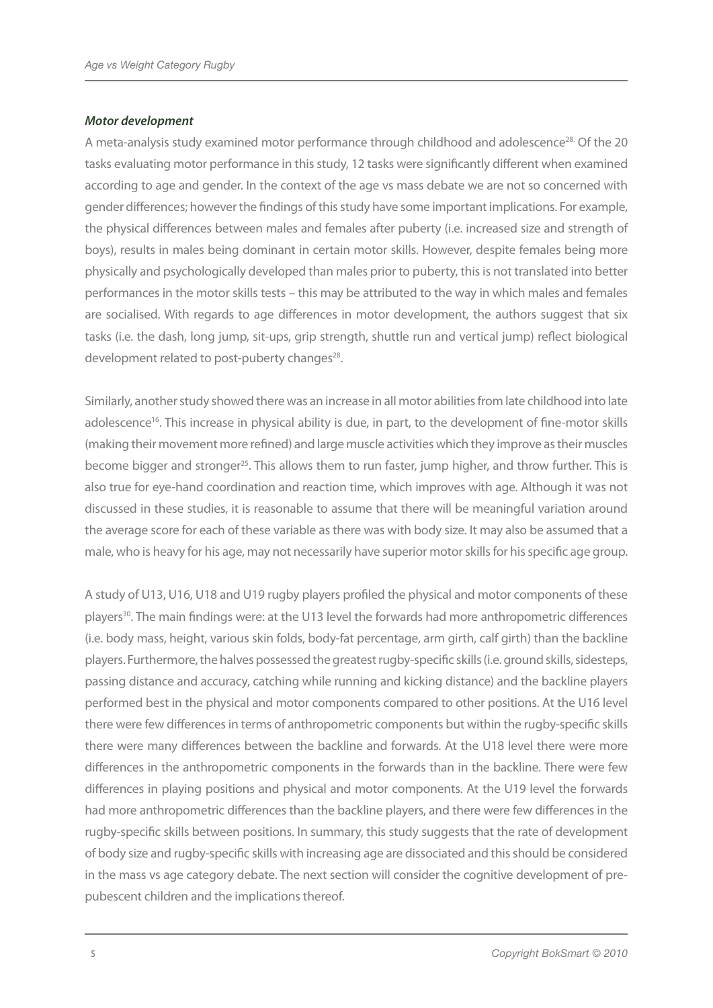#### *Motor development*

A meta-analysis study examined motor performance through childhood and adolescence<sup>28.</sup> Of the 20 tasks evaluating motor performance in this study, 12 tasks were significantly different when examined according to age and gender. In the context of the age vs mass debate we are not so concerned with gender differences; however the findings of this study have some important implications. For example, the physical differences between males and females after puberty (i.e. increased size and strength of boys), results in males being dominant in certain motor skills. However, despite females being more physically and psychologically developed than males prior to puberty, this is not translated into better performances in the motor skills tests – this may be attributed to the way in which males and females are socialised. With regards to age differences in motor development, the authors suggest that six tasks (i.e. the dash, long jump, sit-ups, grip strength, shuttle run and vertical jump) reflect biological development related to post-puberty changes<sup>28</sup>.

Similarly, another study showed there was an increase in all motor abilities from late childhood into late adolescence<sup>16</sup>. This increase in physical ability is due, in part, to the development of fine-motor skills (making their movement more refined) and large muscle activities which they improve as their muscles become bigger and stronger<sup>25</sup>. This allows them to run faster, jump higher, and throw further. This is also true for eye-hand coordination and reaction time, which improves with age. Although it was not discussed in these studies, it is reasonable to assume that there will be meaningful variation around the average score for each of these variable as there was with body size. It may also be assumed that a male, who is heavy for his age, may not necessarily have superior motor skills for his specific age group.

A study of U13, U16, U18 and U19 rugby players profiled the physical and motor components of these players<sup>30</sup>. The main findings were: at the U13 level the forwards had more anthropometric differences (i.e. body mass, height, various skin folds, body-fat percentage, arm girth, calf girth) than the backline players. Furthermore, the halves possessed the greatest rugby-specific skills (i.e. ground skills, sidesteps, passing distance and accuracy, catching while running and kicking distance) and the backline players performed best in the physical and motor components compared to other positions. At the U16 level there were few differences in terms of anthropometric components but within the rugby-specific skills there were many differences between the backline and forwards. At the U18 level there were more differences in the anthropometric components in the forwards than in the backline. There were few differences in playing positions and physical and motor components. At the U19 level the forwards had more anthropometric differences than the backline players, and there were few differences in the rugby-specific skills between positions. In summary, this study suggests that the rate of development of body size and rugby-specific skills with increasing age are dissociated and this should be considered in the mass vs age category debate. The next section will consider the cognitive development of prepubescent children and the implications thereof.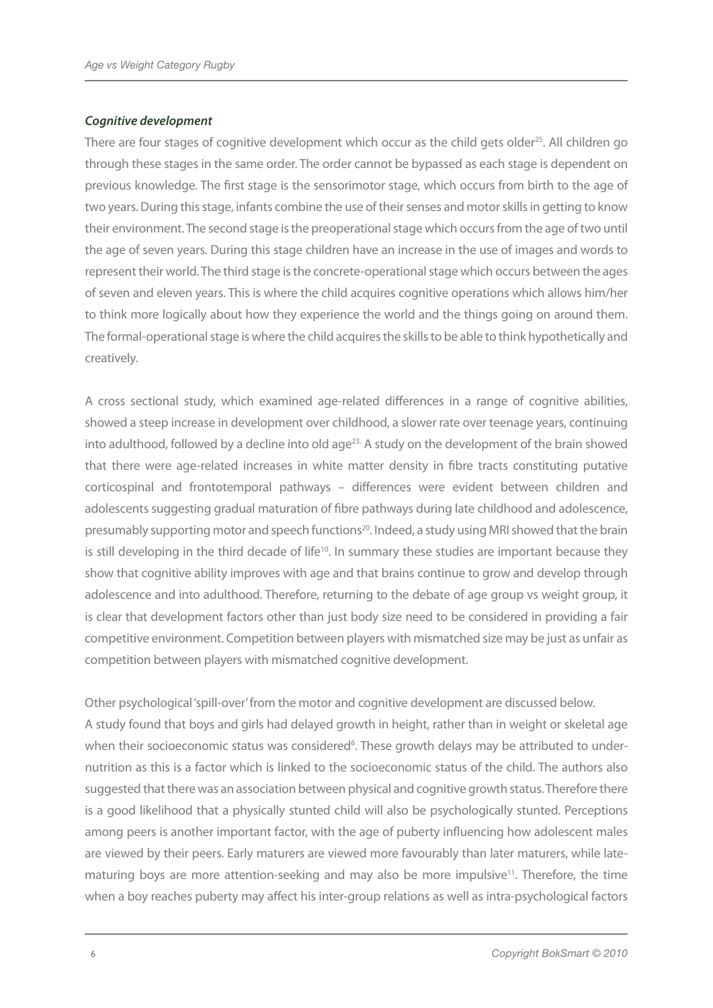#### *Cognitive development*

There are four stages of cognitive development which occur as the child gets older<sup>25</sup>. All children go through these stages in the same order. The order cannot be bypassed as each stage is dependent on previous knowledge. The first stage is the sensorimotor stage, which occurs from birth to the age of two years. During this stage, infants combine the use of their senses and motor skills in getting to know their environment. The second stage is the preoperational stage which occurs from the age of two until the age of seven years. During this stage children have an increase in the use of images and words to represent their world. The third stage is the concrete-operational stage which occurs between the ages of seven and eleven years. This is where the child acquires cognitive operations which allows him/her to think more logically about how they experience the world and the things going on around them. The formal-operational stage is where the child acquires the skills to be able to think hypothetically and creatively.

A cross sectional study, which examined age-related differences in a range of cognitive abilities, showed a steep increase in development over childhood, a slower rate over teenage years, continuing into adulthood, followed by a decline into old age<sup>23.</sup> A study on the development of the brain showed that there were age-related increases in white matter density in fibre tracts constituting putative corticospinal and frontotemporal pathways – differences were evident between children and adolescents suggesting gradual maturation of fibre pathways during late childhood and adolescence, presumably supporting motor and speech functions<sup>20</sup>. Indeed, a study using MRI showed that the brain is still developing in the third decade of life<sup>10</sup>. In summary these studies are important because they show that cognitive ability improves with age and that brains continue to grow and develop through adolescence and into adulthood. Therefore, returning to the debate of age group vs weight group, it is clear that development factors other than just body size need to be considered in providing a fair competitive environment. Competition between players with mismatched size may be just as unfair as competition between players with mismatched cognitive development.

Other psychological 'spill-over' from the motor and cognitive development are discussed below. A study found that boys and girls had delayed growth in height, rather than in weight or skeletal age when their socioeconomic status was considered<sup>6</sup>. These growth delays may be attributed to undernutrition as this is a factor which is linked to the socioeconomic status of the child. The authors also suggested that there was an association between physical and cognitive growth status. Therefore there is a good likelihood that a physically stunted child will also be psychologically stunted. Perceptions among peers is another important factor, with the age of puberty influencing how adolescent males are viewed by their peers. Early maturers are viewed more favourably than later maturers, while latematuring boys are more attention-seeking and may also be more impulsive<sup>11</sup>. Therefore, the time when a boy reaches puberty may affect his inter-group relations as well as intra-psychological factors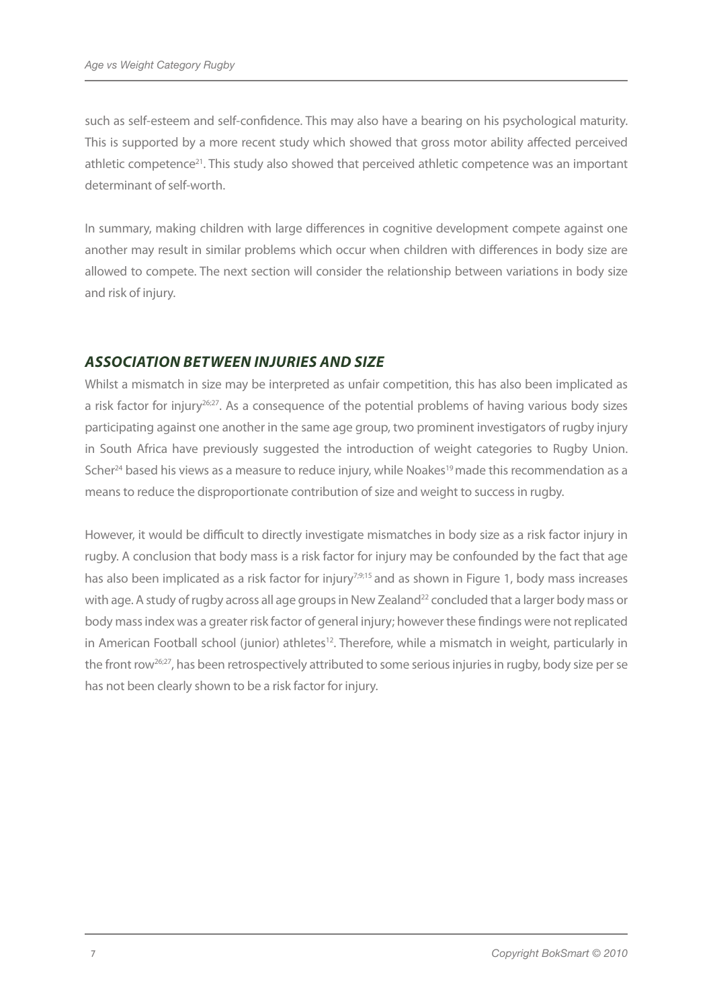such as self-esteem and self-confidence. This may also have a bearing on his psychological maturity. This is supported by a more recent study which showed that gross motor ability affected perceived athletic competence<sup>21</sup>. This study also showed that perceived athletic competence was an important determinant of self-worth.

In summary, making children with large differences in cognitive development compete against one another may result in similar problems which occur when children with differences in body size are allowed to compete. The next section will consider the relationship between variations in body size and risk of injury.

# *ASSOCIATION BETWEEN INJURIES AND SIZE*

Whilst a mismatch in size may be interpreted as unfair competition, this has also been implicated as a risk factor for injury<sup>26;27</sup>. As a consequence of the potential problems of having various body sizes participating against one another in the same age group, two prominent investigators of rugby injury in South Africa have previously suggested the introduction of weight categories to Rugby Union. Scher<sup>24</sup> based his views as a measure to reduce injury, while Noakes<sup>19</sup> made this recommendation as a means to reduce the disproportionate contribution of size and weight to success in rugby.

However, it would be difficult to directly investigate mismatches in body size as a risk factor injury in rugby. A conclusion that body mass is a risk factor for injury may be confounded by the fact that age has also been implicated as a risk factor for injury<sup>7;9;15</sup> and as shown in Figure 1, body mass increases with age. A study of rugby across all age groups in New Zealand<sup>22</sup> concluded that a larger body mass or body massindex was a greater risk factor of general injury; however these findings were not replicated in American Football school (junior) athletes<sup>12</sup>. Therefore, while a mismatch in weight, particularly in the front row<sup>26;27</sup>, has been retrospectively attributed to some serious injuries in rugby, body size per se has not been clearly shown to be a risk factor for injury.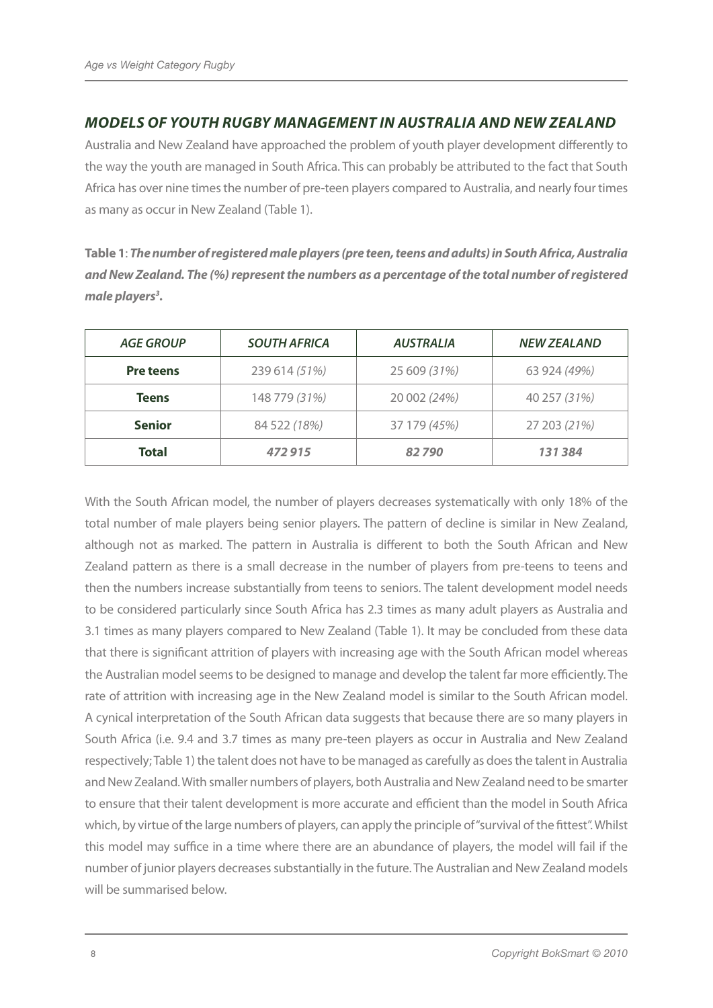# *MODELS OF YOUTH RUGBY MANAGEMENT IN AUSTRALIA AND NEW ZEALAND*

Australia and New Zealand have approached the problem of youth player development differently to the way the youth are managed in South Africa. This can probably be attributed to the fact that South Africa has over nine times the number of pre-teen players compared to Australia, and nearly four times as many as occur in New Zealand (Table 1).

**Table 1**: *The number of registered male players (pre teen, teens and adults) in South Africa, Australia and New Zealand. The (%) represent the numbers as a percentage of the total number of registered male players3 .* 

| <b>AGE GROUP</b> | <b>SOUTH AFRICA</b> | <b>AUSTRALIA</b> | <b>NEW ZEALAND</b> |
|------------------|---------------------|------------------|--------------------|
| <b>Pre teens</b> | 239 614 (51%)       | 25 609 (31%)     | 63 924 (49%)       |
| <b>Teens</b>     | 148 779 (31%)       | 20 002 (24%)     | 40 257 (31%)       |
| <b>Senior</b>    | 84 522 (18%)        | 37 179 (45%)     | 27 203 (21%)       |
| <b>Total</b>     | 472915              | 82790            | 131384             |

With the South African model, the number of players decreases systematically with only 18% of the total number of male players being senior players. The pattern of decline is similar in New Zealand, although not as marked. The pattern in Australia is different to both the South African and New Zealand pattern as there is a small decrease in the number of players from pre-teens to teens and then the numbers increase substantially from teens to seniors. The talent development model needs to be considered particularly since South Africa has 2.3 times as many adult players as Australia and 3.1 times as many players compared to New Zealand (Table 1). It may be concluded from these data that there is significant attrition of players with increasing age with the South African model whereas the Australian model seems to be designed to manage and develop the talent far more efficiently. The rate of attrition with increasing age in the New Zealand model is similar to the South African model. A cynical interpretation of the South African data suggests that because there are so many players in South Africa (i.e. 9.4 and 3.7 times as many pre-teen players as occur in Australia and New Zealand respectively; Table 1) the talent does not have to be managed as carefully as does the talent in Australia and New Zealand. With smaller numbers of players, both Australia and New Zealand need to be smarter to ensure that their talent development is more accurate and efficient than the model in South Africa which, by virtue of the large numbers of players, can apply the principle of "survival of the fittest". Whilst this model may suffice in a time where there are an abundance of players, the model will fail if the number of junior players decreases substantially in the future. The Australian and New Zealand models will be summarised below.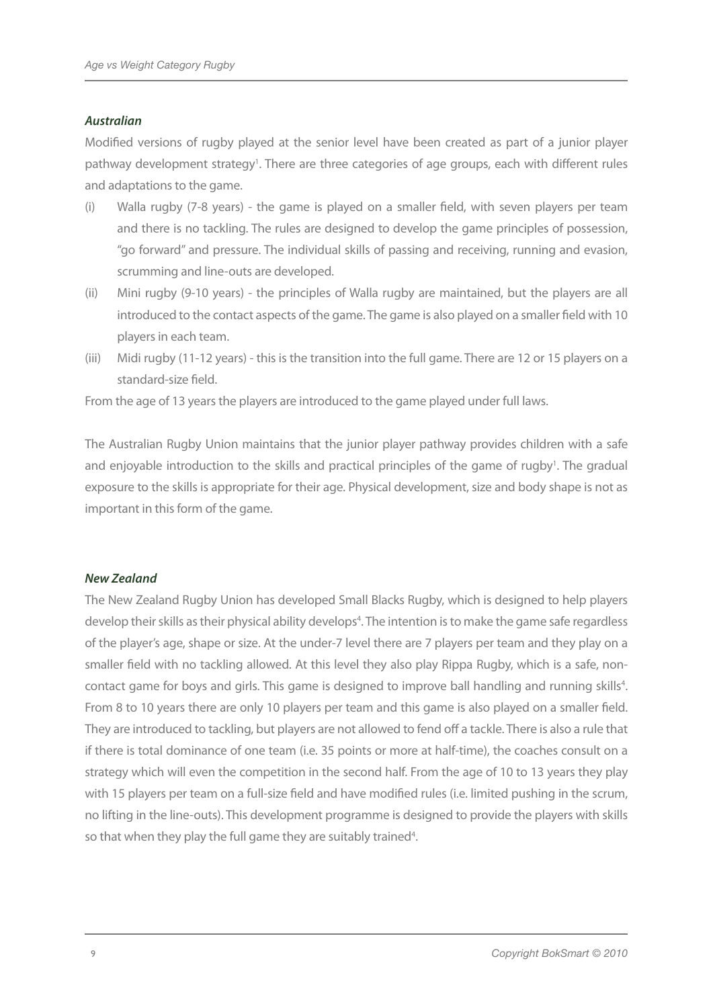#### *Australian*

Modified versions of rugby played at the senior level have been created as part of a junior player pathway development strategy<sup>1</sup>. There are three categories of age groups, each with different rules and adaptations to the game.

- (i) Walla rugby (7-8 years) the game is played on a smaller field, with seven players per team and there is no tackling. The rules are designed to develop the game principles of possession, "go forward" and pressure. The individual skills of passing and receiving, running and evasion, scrumming and line-outs are developed.
- (ii) Mini rugby (9-10 years) the principles of Walla rugby are maintained, but the players are all introduced to the contact aspects of the game. The game is also played on a smaller field with 10 players in each team.
- (iii) Midi rugby (11-12 years) this is the transition into the full game. There are 12 or 15 players on a standard-size field.

From the age of 13 years the players are introduced to the game played under full laws.

The Australian Rugby Union maintains that the junior player pathway provides children with a safe and enjoyable introduction to the skills and practical principles of the game of rugby<sup>1</sup>. The gradual exposure to the skills is appropriate for their age. Physical development, size and body shape is not as important in this form of the game.

#### *New Zealand*

The New Zealand Rugby Union has developed Small Blacks Rugby, which is designed to help players develop their skills as their physical ability develops<sup>4</sup>. The intention is to make the game safe regardless of the player's age, shape or size. At the under-7 level there are 7 players per team and they play on a smaller field with no tackling allowed. At this level they also play Rippa Rugby, which is a safe, noncontact game for boys and girls. This game is designed to improve ball handling and running skills<sup>4</sup>. From 8 to 10 years there are only 10 players per team and this game is also played on a smaller field. They are introduced to tackling, but players are not allowed to fend off a tackle. There is also a rule that if there is total dominance of one team (i.e. 35 points or more at half-time), the coaches consult on a strategy which will even the competition in the second half. From the age of 10 to 13 years they play with 15 players per team on a full-size field and have modified rules (i.e. limited pushing in the scrum, no lifting in the line-outs). This development programme is designed to provide the players with skills so that when they play the full game they are suitably trained<sup>4</sup>.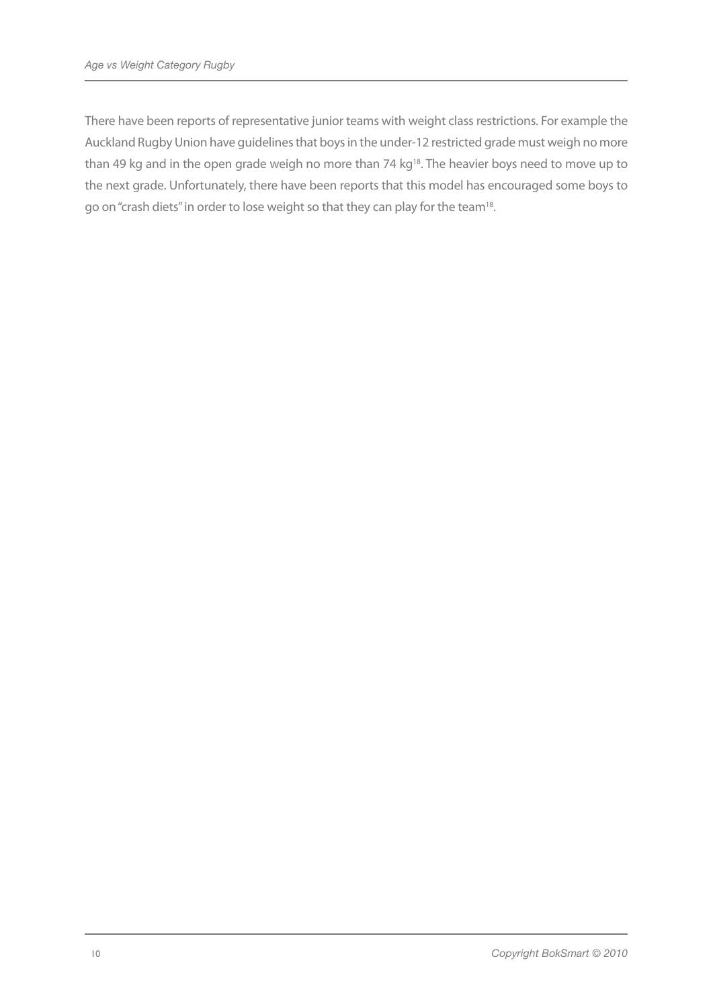There have been reports of representative junior teams with weight class restrictions. For example the Auckland Rugby Union have guidelines that boys in the under-12 restricted grade must weigh no more than 49 kg and in the open grade weigh no more than 74 kg<sup>18</sup>. The heavier boys need to move up to the next grade. Unfortunately, there have been reports that this model has encouraged some boys to go on "crash diets" in order to lose weight so that they can play for the team18.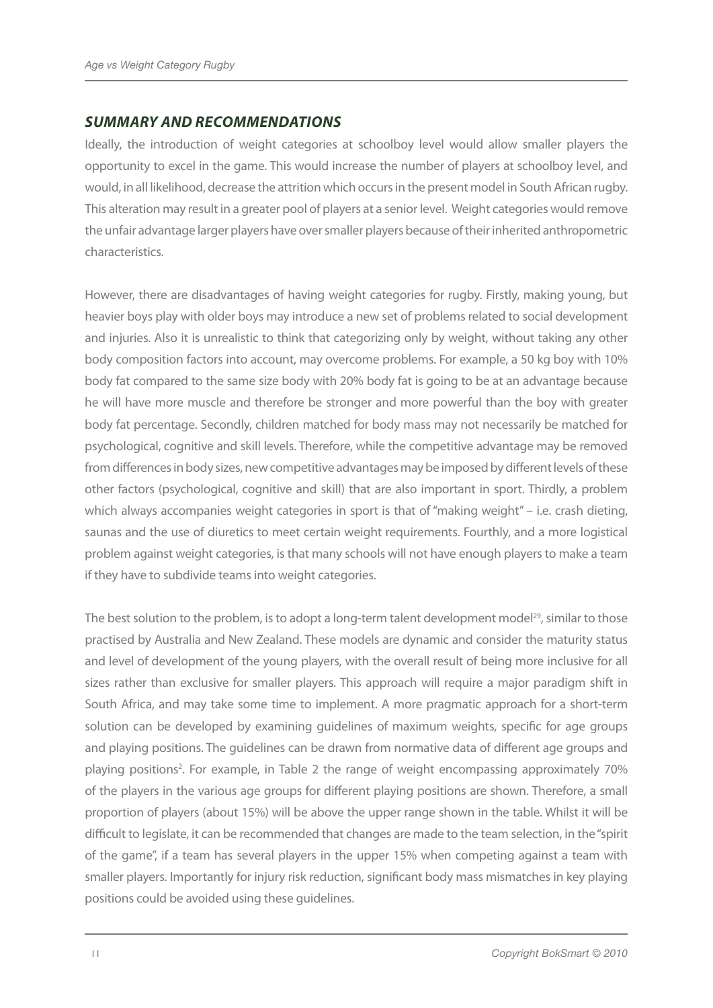### *SUMMARY AND RECOMMENDATIONS*

Ideally, the introduction of weight categories at schoolboy level would allow smaller players the opportunity to excel in the game. This would increase the number of players at schoolboy level, and would, in all likelihood, decrease the attrition which occurs in the present model in South African rugby. This alteration may result in a greater pool of players at a senior level. Weight categories would remove the unfair advantage larger players have over smaller players because of their inherited anthropometric characteristics.

However, there are disadvantages of having weight categories for rugby. Firstly, making young, but heavier boys play with older boys may introduce a new set of problems related to social development and injuries. Also it is unrealistic to think that categorizing only by weight, without taking any other body composition factors into account, may overcome problems. For example, a 50 kg boy with 10% body fat compared to the same size body with 20% body fat is going to be at an advantage because he will have more muscle and therefore be stronger and more powerful than the boy with greater body fat percentage. Secondly, children matched for body mass may not necessarily be matched for psychological, cognitive and skill levels. Therefore, while the competitive advantage may be removed from differences in body sizes, new competitive advantages may be imposed by different levels of these other factors (psychological, cognitive and skill) that are also important in sport. Thirdly, a problem which always accompanies weight categories in sport is that of "making weight" – i.e. crash dieting, saunas and the use of diuretics to meet certain weight requirements. Fourthly, and a more logistical problem against weight categories, is that many schools will not have enough players to make a team if they have to subdivide teams into weight categories.

The best solution to the problem, is to adopt a long-term talent development model<sup>29</sup>, similar to those practised by Australia and New Zealand. These models are dynamic and consider the maturity status and level of development of the young players, with the overall result of being more inclusive for all sizes rather than exclusive for smaller players. This approach will require a major paradigm shift in South Africa, and may take some time to implement. A more pragmatic approach for a short-term solution can be developed by examining guidelines of maximum weights, specific for age groups and playing positions. The guidelines can be drawn from normative data of different age groups and playing positions<sup>2</sup>. For example, in Table 2 the range of weight encompassing approximately 70% of the players in the various age groups for different playing positions are shown. Therefore, a small proportion of players (about 15%) will be above the upper range shown in the table. Whilst it will be difficult to legislate, it can be recommended that changes are made to the team selection, in the "spirit of the game", if a team has several players in the upper 15% when competing against a team with smaller players. Importantly for injury risk reduction, significant body mass mismatches in key playing positions could be avoided using these guidelines.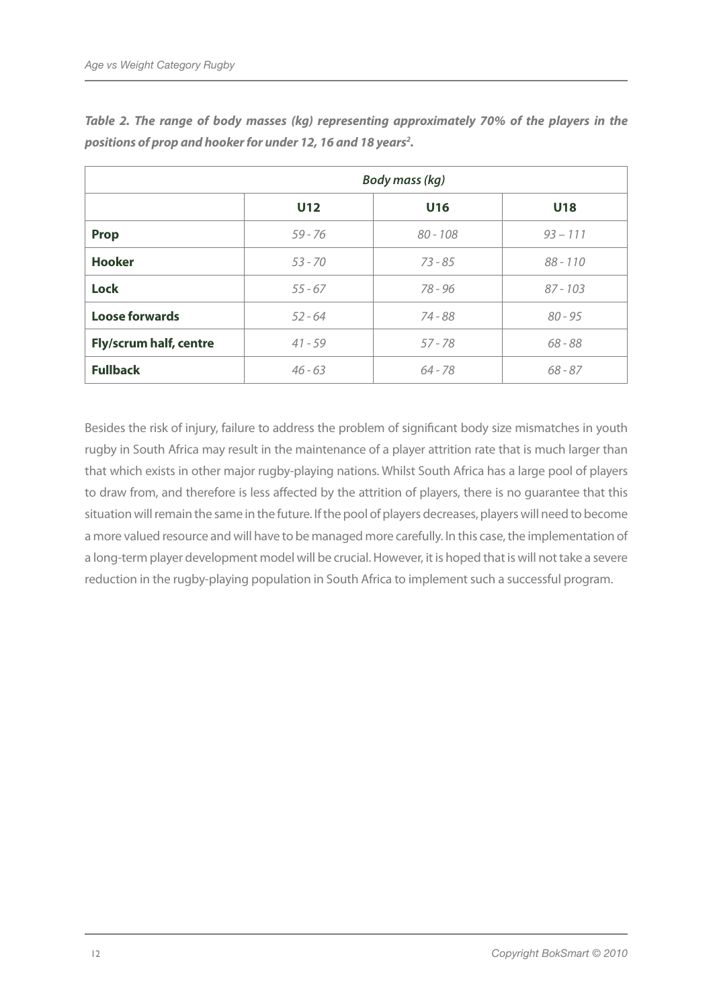|                               | <b>Body mass (kg)</b> |            |            |  |
|-------------------------------|-----------------------|------------|------------|--|
|                               | U12                   | U16        | <b>U18</b> |  |
| <b>Prop</b>                   | $59 - 76$             | $80 - 108$ | $93 - 111$ |  |
| <b>Hooker</b>                 | $53 - 70$             | $73 - 85$  | $88 - 110$ |  |
| <b>Lock</b>                   | $55 - 67$             | 78 - 96    | $87 - 103$ |  |
| <b>Loose forwards</b>         | $52 - 64$             | 74 - 88    | $80 - 95$  |  |
| <b>Fly/scrum half, centre</b> | $41 - 59$             | $57 - 78$  | $68 - 88$  |  |
| <b>Fullback</b>               | $46 - 63$             | $64 - 78$  | $68 - 87$  |  |

*Table 2. The range of body masses (kg) representing approximately 70% of the players in the*  positions of prop and hooker for under 12, 16 and 18 years<sup>2</sup>.

Besides the risk of injury, failure to address the problem of significant body size mismatches in youth rugby in South Africa may result in the maintenance of a player attrition rate that is much larger than that which exists in other major rugby-playing nations. Whilst South Africa has a large pool of players to draw from, and therefore is less affected by the attrition of players, there is no guarantee that this situation will remain the same in the future. If the pool of players decreases, players will need to become a more valued resource and will have to be managed more carefully. In this case, the implementation of a long-term player development model will be crucial. However, it is hoped that is will not take a severe reduction in the rugby-playing population in South Africa to implement such a successful program.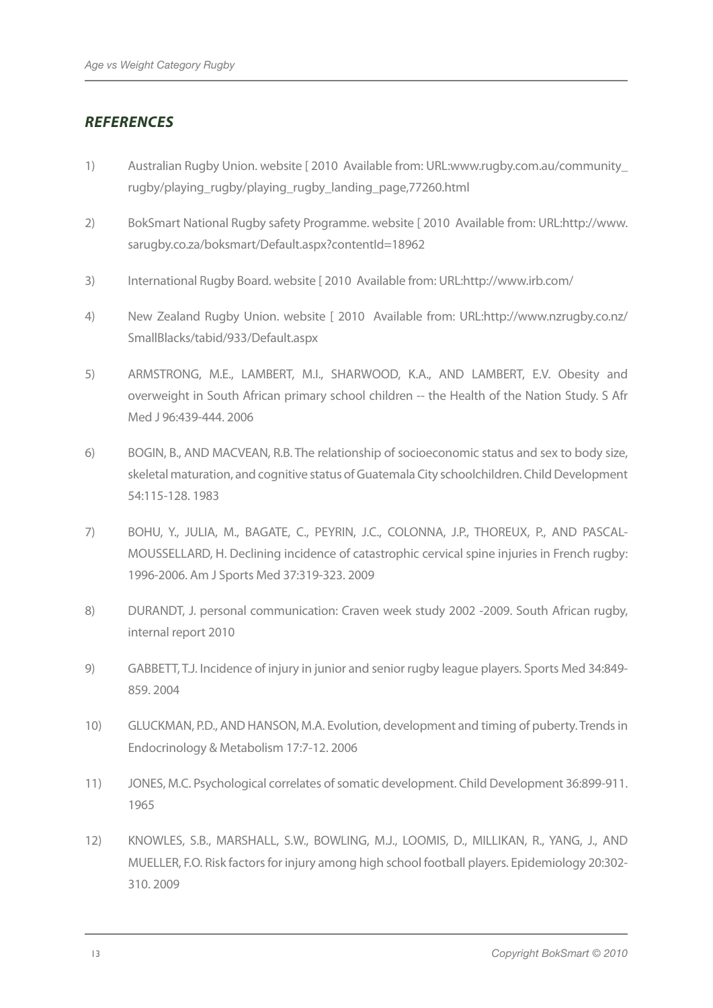# *References*

- 1) Australian Rugby Union. website [ 2010 Available from: URL:www.rugby.com.au/community\_ rugby/playing\_rugby/playing\_rugby\_landing\_page,77260.html
- 2) BokSmart National Rugby safety Programme. website [ 2010 Available from: URL:http://www. sarugby.co.za/boksmart/Default.aspx?contentId=18962
- 3) International Rugby Board. website [ 2010 Available from: URL:http://www.irb.com/
- 4) New Zealand Rugby Union. website [ 2010 Available from: URL:http://www.nzrugby.co.nz/ SmallBlacks/tabid/933/Default.aspx
- 5) ARMSTRONG, M.E., LAMBERT, M.I., SHARWOOD, K.A., AND LAMBERT, E.V. Obesity and overweight in South African primary school children -- the Health of the Nation Study. S Afr Med J 96:439-444. 2006
- 6) BOGIN, B., AND MACVEAN, R.B. The relationship of socioeconomic status and sex to body size, skeletal maturation, and cognitive status of Guatemala City schoolchildren. Child Development 54:115-128. 1983
- 7) BOHU, Y., JULIA, M., BAGATE, C., PEYRIN, J.C., COLONNA, J.P., THOREUX, P., AND PASCAL-MOUSSELLARD, H. Declining incidence of catastrophic cervical spine injuries in French rugby: 1996-2006. Am J Sports Med 37:319-323. 2009
- 8) DURANDT, J. personal communication: Craven week study 2002 -2009. South African rugby, internal report 2010
- 9) GABBETT, T.J. Incidence of injury in junior and senior rugby league players. Sports Med 34:849-859. 2004
- 10) GLUCKMAN, P.D., AND HANSON, M.A. Evolution, development and timing of puberty. Trends in Endocrinology & Metabolism 17:7-12. 2006
- 11) JONES, M.C. Psychological correlates of somatic development. Child Development 36:899-911. 1965
- 12) KNOWLES, S.B., MARSHALL, S.W., BOWLING, M.J., LOOMIS, D., MILLIKAN, R., YANG, J., AND MUELLER, F.O. Risk factors for injury among high school football players. Epidemiology 20:302-310. 2009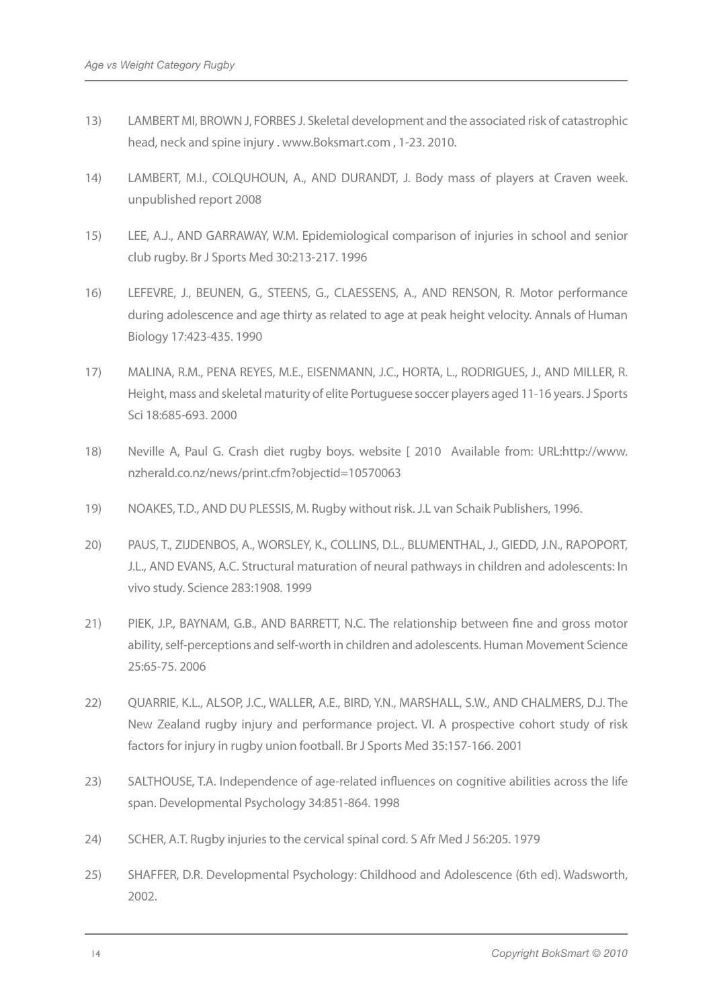- 13) LAMBERT MI, BROWN J, FORBES J. Skeletal development and the associated risk of catastrophic head, neck and spine injury . www.Boksmart.com , 1-23. 2010.
- 14) LAMBERT, M.I., COLQUHOUN, A., AND DURANDT, J. Body mass of players at Craven week. unpublished report 2008
- 15) LEE, A.J., AND GARRAWAY, W.M. Epidemiological comparison of injuries in school and senior club rugby. Br J Sports Med 30:213-217. 1996
- 16) LEFEVRE, J., BEUNEN, G., STEENS, G., CLAESSENS, A., AND RENSON, R. Motor performance during adolescence and age thirty as related to age at peak height velocity. Annals of Human Biology 17:423-435. 1990
- 17) MALINA, R.M., PENA REYES, M.E., EISENMANN, J.C., HORTA, L., RODRIGUES, J., AND MILLER, R. Height, mass and skeletal maturity of elite Portuguese soccer players aged 11-16 years. J Sports Sci 18:685-693. 2000
- 18) Neville A, Paul G. Crash diet rugby boys. website [ 2010 Available from: URL:http://www. nzherald.co.nz/news/print.cfm?objectid=10570063
- 19) NOAKES, T.D., AND DU PLESSIS, M. Rugby without risk. J.L van Schaik Publishers, 1996.
- 20) PAUS, T., ZIJDENBOS, A., WORSLEY, K., COLLINS, D.L., BLUMENTHAL, J., GIEDD, J.N., RAPOPORT, J.L., AND EVANS, A.C. Structural maturation of neural pathways in children and adolescents: In vivo study. Science 283:1908. 1999
- 21) PIEK, J.P., BAYNAM, G.B., AND BARRETT, N.C. The relationship between fine and gross motor ability, self-perceptions and self-worth in children and adolescents. Human Movement Science 25:65-75. 2006
- 22) QUARRIE, K.L., ALSOP, J.C., WALLER, A.E., BIRD, Y.N., MARSHALL, S.W., AND CHALMERS, D.J. The New Zealand rugby injury and performance project. VI. A prospective cohort study of risk factors for injury in rugby union football. Br J Sports Med 35:157-166. 2001
- 23) SALTHOUSE, T.A. Independence of age-related influences on cognitive abilities across the life span. Developmental Psychology 34:851-864. 1998
- 24) SCHER, A.T. Rugby injuries to the cervical spinal cord. S Afr Med J 56:205. 1979
- 25) SHAFFER, D.R. Developmental Psychology: Childhood and Adolescence (6th ed). Wadsworth, 2002.